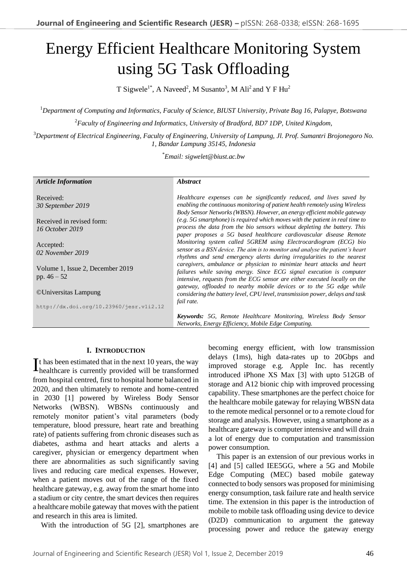# Energy Efficient Healthcare Monitoring System using 5G Task Offloading

T Sigwele<sup>1\*</sup>, A Naveed<sup>2</sup>, M Susanto<sup>3</sup>, M Ali<sup>2</sup> and Y F Hu<sup>2</sup>

<sup>1</sup>*Department of Computing and Informatics, Faculty of Science, BIUST University, Private Bag 16, Palapye, Botswana* <sup>2</sup>*Faculty of Engineering and Informatics, University of Bradford, BD7 1DP, United Kingdom,*

<sup>3</sup>*Department of Electrical Engineering, Faculty of Engineering, University of Lampung, Jl. Prof. Sumantri Brojonegoro No. 1, Bandar Lampung 35145, Indonesia*

\**Email: sigwelet@biust.ac.bw*

| <b>Article Information</b>              | <i><b>Abstract</b></i>                                                        |  |
|-----------------------------------------|-------------------------------------------------------------------------------|--|
|                                         |                                                                               |  |
| Received:                               | Healthcare expenses can be significantly reduced, and lives saved by          |  |
| 30 September 2019                       | enabling the continuous monitoring of patient health remotely using Wireless  |  |
|                                         | Body Sensor Networks (WBSN). However, an energy efficient mobile gateway      |  |
| Received in revised form:               | (e.g. 5G smartphone) is required which moves with the patient in real time to |  |
| 16 October 2019                         | process the data from the bio sensors without depleting the battery. This     |  |
|                                         | paper proposes a 5G based healthcare cardiovascular disease Remote            |  |
| Accepted:                               | Monitoring system called 5GREM using Electrocardiogram (ECG) bio              |  |
| 02 November 2019                        | sensor as a BSN device. The aim is to monitor and analyse the patient's heart |  |
|                                         | rhythms and send emergency alerts during irregularities to the nearest        |  |
| Volume 1, Issue 2, December 2019        | caregivers, ambulance or physician to minimize heart attacks and heart        |  |
| pp. $46 - 52$                           | failures while saving energy. Since ECG signal execution is computer          |  |
|                                         | intensive, requests from the ECG sensor are either executed locally on the    |  |
| ©Universitas Lampung                    | gateway, offloaded to nearby mobile devices or to the 5G edge while           |  |
|                                         | considering the battery level, CPU level, transmission power, delays and task |  |
| http://dx.doi.org/10.23960/jesr.vli2.12 | fail rate.                                                                    |  |
|                                         |                                                                               |  |
|                                         | <b>Keywords:</b> 5G, Remote Healthcare Monitoring, Wireless Body Sensor       |  |
|                                         | Networks, Energy Efficiency, Mobile Edge Computing.                           |  |

## **I. INTRODUCTION**

t has been estimated that in the next 10 years, the way It has been estimated that in the next 10 years, the way healthcare is currently provided will be transformed from hospital centred, first to hospital home balanced in 2020, and then ultimately to remote and home-centred in 2030 [1] powered by Wireless Body Sensor Networks (WBSN). WBSNs continuously and remotely monitor patient's vital parameters (body temperature, blood pressure, heart rate and breathing rate) of patients suffering from chronic diseases such as diabetes, asthma and heart attacks and alerts a caregiver, physician or emergency department when there are abnormalities as such significantly saving lives and reducing care medical expenses. However, when a patient moves out of the range of the fixed healthcare gateway, e.g. away from the smart home into a stadium or city centre, the smart devices then requires a healthcare mobile gateway that moves with the patient and research in this area is limited.

With the introduction of 5G [2], smartphones are

becoming energy efficient, with low transmission delays (1ms), high data-rates up to 20Gbps and improved storage e.g. Apple Inc. has recently introduced iPhone XS Max [3] with upto 512GB of storage and A12 bionic chip with improved processing capability. These smartphones are the perfect choice for the healthcare mobile gateway for relaying WBSN data to the remote medical personnel or to a remote cloud for storage and analysis. However, using a smartphone as a healthcare gateway is computer intensive and will drain a lot of energy due to computation and transmission power consumption.

This paper is an extension of our previous works in [4] and [5] called IEE5GG, where a 5G and Mobile Edge Computing (MEC) based mobile gateway connected to body sensors was proposed for minimising energy consumption, task failure rate and health service time. The extension in this paper is the introduction of mobile to mobile task offloading using device to device (D2D) communication to argument the gateway processing power and reduce the gateway energy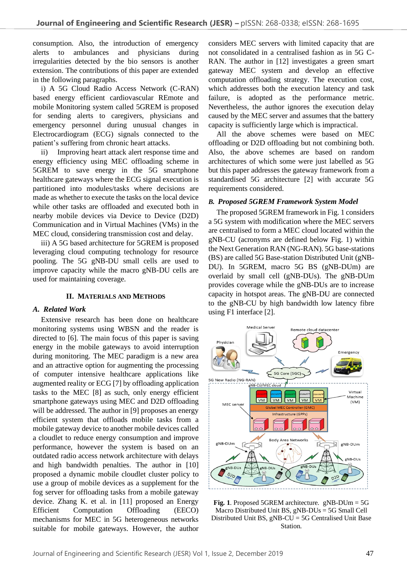consumption. Also, the introduction of emergency alerts to ambulances and physicians during irregularities detected by the bio sensors is another extension. The contributions of this paper are extended in the following paragraphs.

i) A 5G Cloud Radio Access Network (C-RAN) based energy efficient cardiovascular REmote and mobile Monitoring system called 5GREM is proposed for sending alerts to caregivers, physicians and emergency personnel during unusual changes in Electrocardiogram (ECG) signals connected to the patient's suffering from chronic heart attacks.

ii) Improving heart attack alert response time and energy efficiency using MEC offloading scheme in 5GREM to save energy in the 5G smartphone healthcare gateways where the ECG signal execution is partitioned into modules/tasks where decisions are made as whether to execute the tasks on the local device while other tasks are offloaded and executed both in nearby mobile devices via Device to Device (D2D) Communication and in Virtual Machines (VMs) in the MEC cloud, considering transmission cost and delay.

iii) A 5G based architecture for 5GREM is proposed leveraging cloud computing technology for resource pooling. The 5G gNB-DU small cells are used to improve capacity while the macro gNB-DU cells are used for maintaining coverage.

# **II. MATERIALS AND METHODS**

# *A. Related Work*

Extensive research has been done on healthcare monitoring systems using WBSN and the reader is directed to [6]. The main focus of this paper is saving energy in the mobile gateways to avoid interruption during monitoring. The MEC paradigm is a new area and an attractive option for augmenting the processing of computer intensive healthcare applications like augmented reality or ECG [7] by offloading application tasks to the MEC [8] as such, only energy efficient smartphone gateways using MEC and D2D offloading will be addressed. The author in [9] proposes an energy efficient system that offloads mobile tasks from a mobile gateway device to another mobile devices called a cloudlet to reduce energy consumption and improve performance, however the system is based on an outdated radio access network architecture with delays and high bandwidth penalties. The author in [10] proposed a dynamic mobile cloudlet cluster policy to use a group of mobile devices as a supplement for the fog server for offloading tasks from a mobile gateway device. Zhang K. et al. in [11] proposed an Energy Efficient Computation Offloading (EECO) mechanisms for MEC in 5G heterogeneous networks suitable for mobile gateways. However, the author

considers MEC servers with limited capacity that are not consolidated in a centralised fashion as in 5G C-RAN. The author in [12] investigates a green smart gateway MEC system and develop an effective computation offloading strategy. The execution cost, which addresses both the execution latency and task failure, is adopted as the performance metric. Nevertheless, the author ignores the execution delay caused by the MEC server and assumes that the battery capacity is sufficiently large which is impractical.

All the above schemes were based on MEC offloading or D2D offloading but not combining both. Also, the above schemes are based on random architectures of which some were just labelled as 5G but this paper addresses the gateway framework from a standardised 5G architecture [2] with accurate 5G requirements considered.

# *B. Proposed 5GREM Framework System Model*

The proposed 5GREM framework in Fig. 1 considers a 5G system with modification where the MEC servers are centralised to form a MEC cloud located within the gNB-CU (acronyms are defined below Fig. 1) within the Next Generation RAN (NG-RAN). 5G base-stations (BS) are called 5G Base-station Distributed Unit (gNB-DU). In 5GREM, macro 5G BS (gNB-DUm) are overlaid by small cell (gNB-DUs). The gNB-DUm provides coverage while the gNB-DUs are to increase capacity in hotspot areas. The gNB-DU are connected to the gNB-CU by high bandwidth low latency fibre using F1 interface [2].



**Fig. 1**. Proposed 5GREM architecture. gNB-DUm = 5G Macro Distributed Unit BS, gNB-DUs = 5G Small Cell Distributed Unit BS, gNB-CU = 5G Centralised Unit Base Station.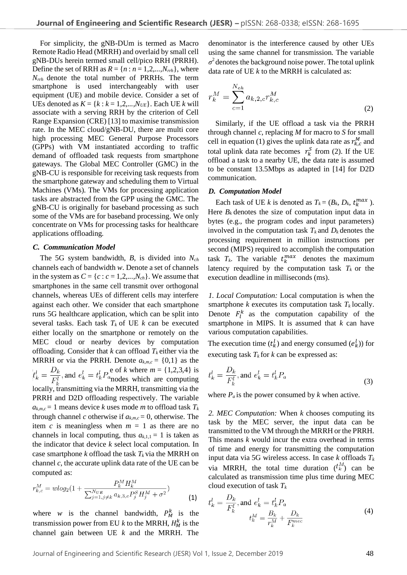For simplicity, the gNB-DUm is termed as Macro Remote Radio Head (MRRH) and overlaid by small cell gNB-DUs herein termed small cell/pico RRH (PRRH). Define the set of RRH as  $R = \{n : n = 1, 2, \ldots, N_{rth}\},$  where *Nrrh* denote the total number of PRRHs. The term smartphone is used interchangeably with user equipment (UE) and mobile device. Consider a set of UEs denoted as  $K = \{k : k = 1, 2, ..., N_{UE}\}$ . Each UE *k* will associate with a serving RRH by the criterion of Cell Range Expansion (CRE) [13] to maximise transmission rate. In the MEC cloud/gNB-DU, there are multi core high processing MEC General Purpose Processors (GPPs) with VM instantiated according to traffic demand of offloaded task requests from smartphone gateways. The Global MEC Controller (GMC) in the gNB-CU is responsible for receiving task requests from the smartphone gateway and scheduling them to Virtual Machines (VMs). The VMs for processing application tasks are abstracted from the GPP using the GMC. The gNB-CU is originally for baseband processing as such some of the VMs are for baseband processing. We only concentrate on VMs for processing tasks for healthcare applications offloading.

#### *C. Communication Model*

 The 5G system bandwidth, *B*, is divided into *Nch*  channels each of bandwidth *w*. Denote a set of channels in the system as  $C = \{c : c = 1, 2, \ldots, N_{ch}\}$ . We assume that smartphones in the same cell transmit over orthogonal channels, whereas UEs of different cells may interfere against each other. We consider that each smartphone runs 5G healthcare application, which can be split into several tasks. Each task  $T_k$  of UE  $k$  can be executed either locally on the smartphone or remotely on the MEC cloud or nearby devices by computation offloading. Consider that  $k$  can offload  $T_k$  either via the MRRH or via the PRRH. Denote  $a_{k,m,c} = \{0,1\}$  as the  $D_k$   $D_k$   $D_k$   $D_k$   $D_k$   $F_k$  of *k* where  $m = \{1, 2, 3, 4\}$  is  $t_k = \frac{F_k}{F_k}$ , and  $t_k = t_k t_a$  and are computing locally, transmitting via the MRRH, transmitting via the PRRH and D2D offloading respectively. The variable  $a_{k,m,c} = 1$  means device *k* uses mode *m* to offload task  $T_k$ through channel *c* otherwise if  $a_{k,m,c} = 0$ , otherwise. The item *c* is meaningless when  $m = 1$  as there are no channels in local computing, thus  $a_{k,1,1} = 1$  is taken as the indicator that device *k* select local computation. In case smartphone *k* offload the task  $T_k$  via the MRRH on channel *c*, the accurate uplink data rate of the UE can be computed as:

$$
r_{k,c}^M = w \log_2(1 + \frac{P_k^M H_k^M}{\sum_{j=1, j\neq k}^{N_{UE}} a_{k,3,c} P_j^S H_j^M + \sigma^2})
$$
(1)

where *w* is the channel bandwidth,  $P_M^k$  is the transmission power from EU  $k$  to the MRRH,  $H_M^k$  is the channel gain between UE *k* and the MRRH. The

denominator is the interference caused by other UEs using the same channel for transmission. The variable  $\sigma^2$  denotes the background noise power. The total uplink data rate of UE *k* to the MRRH is calculated as:

$$
r_k^M = \sum_{c=1}^{N_{ch}} a_{k,2,c} r_{k,c}^M
$$
 (2)

 Similarly, if the UE offload a task via the PRRH through channel *c*, replacing *M* for macro to *S* for small cell in equation (1) gives the uplink data rate as  $r_{k,c}^M$  and total uplink data rate becomes  $r_k^S$  from (2). If the UE offload a task to a nearby UE, the data rate is assumed to be constant 13.5Mbps as adapted in [14] for D2D communication.

#### *D. Computation Model*

Each task of UE *k* is denoted as  $T_k = (B_k, D_k, t_k^{max})$ . Here  $B_k$  denotes the size of computation input data in bytes (e.g., the program codes and input parameters) involved in the computation task  $T_k$  and  $D_k$  denotes the processing requirement in million instructions per second (MIPS) required to accomplish the computation task  $T_k$ . The variable  $t_k^{max}$  denotes the maximum latency required by the computation task  $T_k$  or the execution deadline in milliseconds (ms).

*1. Local Computation:* Local computation is when the smartphone  $k$  executes its computation task  $T_k$  locally. Denote  $F_l^k$  as the computation capability of the smartphone in MIPS. It is assumed that *k* can have various computation capabilities.

The execution time  $(t_k^l)$  and energy consumed  $(e_k^l)$  for executing task  $T_k$  for  $k$  can be expressed as:

$$
t_k^l = \frac{D_k}{F_k^l}, \text{and } e_k^l = t_k^l P_a \tag{3}
$$

where  $P_a$  is the power consumed by *k* when active.

*2. MEC Computation:* When *k* chooses computing its task by the MEC server, the input data can be transmitted to the VM through the MRRH or the PRRH. This means *k* would incur the extra overhead in terms of time and energy for transmitting the computation input data via 5G wireless access. In case *k* offloads *T<sup>k</sup>* via MRRH, the total time duration  $({}^t{\hskip -1pt}^M_k)$  can be calculated as transmission time plus time during MEC cloud execution of task *T<sup>k</sup>*

$$
t_k^l = \frac{D_k}{F_k^l}, \text{and } e_k^l = t_k^l P_a
$$
  

$$
t_k^M = \frac{B_k}{r_k^M} + \frac{D_k}{F_k^{mec}}
$$
 (4)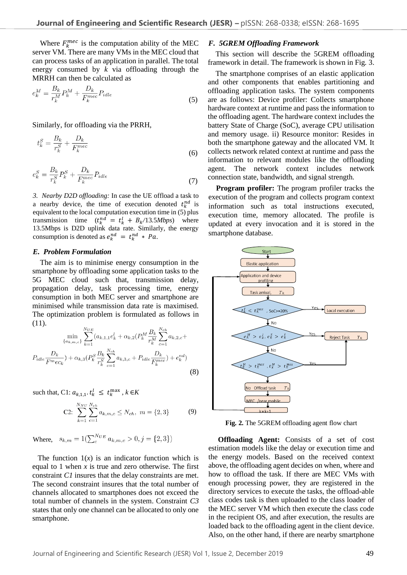Where  $F_k^{mec}$  is the computation ability of the MEC server VM. There are many VMs in the MEC cloud that can process tasks of an application in parallel. The total energy consumed by *k* via offloading through the MRRH can then be calculated as

$$
e_k^M = \frac{B_k}{r_k^M} P_k^M + \frac{D_k}{F_k^{mec}} P_{idle}
$$
\n<sup>(5)</sup>

Similarly, for offloading via the PRRH,

$$
t_k^S = \frac{B_k}{r_k^S} + \frac{D_k}{F_k^{mec}}\tag{6}
$$

$$
e_k^S = \frac{B_k}{r_k^S} P_k^S + \frac{D_k}{F_k^{mec}} P_{idle}
$$
\n<sup>(7)</sup>

*3. Nearby D2D offloading:* In case the UE offload a task to a nearby device, the time of execution denoted  $t_k^{nd}$  is equivalent to the local computation execution time in (5) plus transmission time  $(t_k^{nd} = t_k^l + B_k/13.5Mbps)$  where 13.5Mbps is D2D uplink data rate. Similarly, the energy consumption is denoted as  $e_k^{nd} = t_k^{nd} * Pa$ .

## *E. Problem Formulation*

 The aim is to minimise energy consumption in the smartphone by offloading some application tasks to the 5G MEC cloud such that, transmission delay, propagation delay, task processing time, energy consumption in both MEC server and smartphone are minimised while transmission data rate is maximised. The optimization problem is formulated as follows in (11).

$$
\min_{\{a_{k,m,c}\}} \sum_{k=1}^{N_{UE}} (a_{k,1,1}e_k^l + \alpha_{k,2}(P_k^M \frac{B_k}{r_k^M} \sum_{c=1}^{N_{ch}} a_{k,2,c} + P_{idle} \frac{D_k}{F_m^m e c_k}) + \alpha_{k,3}(P_k^S \frac{B_k}{r_k^S} \sum_{c=1}^{N_{ch}} a_{k,3,c} + P_{idle} \frac{D_k}{F_k^m e c}) + e_k^{nd})
$$
\n(8)

such that, C1:  $a_{k,1,1} \cdot t_k^l \leq t_k^{\max}$ ,  $k \in K$ 

C2: 
$$
\sum_{k=1}^{N_{NU}} \sum_{c=1}^{N_{ch}} a_{k,m,c} \leq N_{ch}, \ m = \{2,3\}
$$
 (9)

Where,  $s_{k,m} = 1(\sum_{c}^{N_{UE}} a_{k,m,c} > 0, j = \{2,3\})$ 

The function  $1(x)$  is an indicator function which is equal to 1 when *x* is true and zero otherwise. The first constraint *C1* insures that the delay constraints are met. The second constraint insures that the total number of channels allocated to smartphones does not exceed the total number of channels in the system. Constraint *C3* states that only one channel can be allocated to only one smartphone.

#### *F. 5GREM Offloading Framework*

 This section will describe the 5GREM offloading framework in detail. The framework is shown in Fig. 3.

 The smartphone comprises of an elastic application and other components that enables partitioning and offloading application tasks. The system components are as follows: Device profiler: Collects smartphone hardware context at runtime and pass the information to the offloading agent. The hardware context includes the battery State of Charge (SoC), average CPU utilisation and memory usage. ii) Resource monitor: Resides in both the smartphone gateway and the allocated VM. It collects network related context at runtime and pass the information to relevant modules like the offloading agent. The network context includes network connection state, bandwidth, and signal strength.

 **Program profiler:** The program profiler tracks the execution of the program and collects program context information such as total instructions executed, execution time, memory allocated. The profile is updated at every invocation and it is stored in the smartphone database.



**Fig. 2.** The 5GREM offloading agent flow chart

**Offloading Agent:** Consists of a set of cost estimation models like the delay or execution time and the energy models. Based on the received context above, the offloading agent decides on when, where and how to offload the task. If there are MEC VMs with enough processing power, they are registered in the directory services to execute the tasks, the offload-able class codes task is then uploaded to the class loader of the MEC server VM which then execute the class code in the recipient OS, and after execution, the results are loaded back to the offloading agent in the client device. Also, on the other hand, if there are nearby smartphone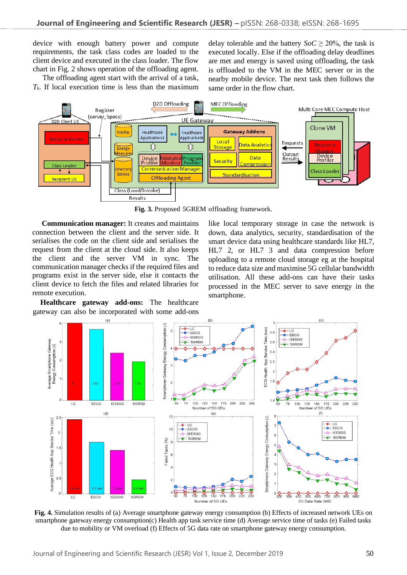device with enough battery power and compute requirements, the task class codes are loaded to the client device and executed in the class loader. The flow chart in Fig. 2 shows operation of the offloading agent.

The offloading agent start with the arrival of a task,  $T_k$ . If local execution time is less than the maximum

delay tolerable and the battery  $SoC > 20\%$ , the task is executed locally. Else if the offloading delay deadlines are met and energy is saved using offloading, the task is offloaded to the VM in the MEC server or in the nearby mobile device. The next task then follows the same order in the flow chart.



**Fig. 3.** Proposed 5GREM offloading framework.

 **Communication manager:** It creates and maintains connection between the client and the server side. It serialises the code on the client side and serialises the request from the client at the cloud side. It also keeps the client and the server VM in sync. The communication manager checks if the required files and programs exist in the server side, else it contacts the client device to fetch the files and related libraries for remote execution.

 **Healthcare gateway add-ons:** The healthcare gateway can also be incorporated with some add-ons like local temporary storage in case the network is down, data analytics, security, standardisation of the smart device data using healthcare standards like HL7, HL7 2, or HL7 3 and data compression before uploading to a remote cloud storage eg at the hospital to reduce data size and maximise 5G cellular bandwidth utilisation. All these add-ons can have their tasks processed in the MEC server to save energy in the smartphone.



**Fig. 4.** Simulation results of (a) Average smartphone gateway energy consumption (b) Effects of increased network UEs on smartphone gateway energy consumption(c) Health app task service time (d) Average service time of tasks (e) Failed tasks due to mobility or VM overload (f) Effects of 5G data rate on smartphone gateway energy consumption.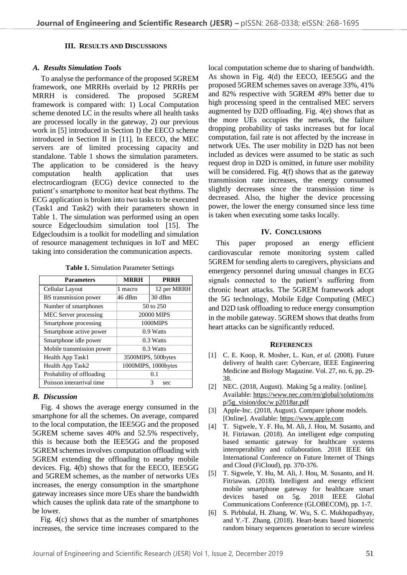## **III. RESULTS AND DISCUSSIONS**

## *A. Results Simulation Tools*

To analyse the performance of the proposed 5GREM framework, one MRRHs overlaid by 12 PRRHs per MRRH is considered. The proposed 5GREM framework is compared with: 1) Local Computation scheme denoted LC in the results where all health tasks are processed locally in the gateway, 2) our previous work in [5] introduced in Section I) the EECO scheme introduced in Section II in [11]. In EECO, the MEC servers are of limited processing capacity and standalone. Table 1 shows the simulation parameters. The application to be considered is the heavy computation health application that uses electrocardiogram (ECG) device connected to the patient's smartphone to monitor heat beat rhythms. The ECG application is broken into two tasks to be executed (Task1 and Task2) with their parameters shown in Table 1. The simulation was performed using an open source Edgecloudsim simulation tool [15]. The Edgecloudsim is a toolkit for modelling and simulation of resource management techniques in IoT and MEC taking into consideration the communication aspects.

| <b>Parameters</b>         | <b>MRRH</b>         | <b>PRRH</b> |
|---------------------------|---------------------|-------------|
| Cellular Layout           | 1 macro             | 12 per MRRH |
| BS transmission power     | 46 dBm              | 30 dBm      |
| Number of smartphones     | 50 to 250           |             |
| MEC Server processing     | 20000 MIPS          |             |
| Smartphone processing     | 1000MIPS            |             |
| Smartphone active power   | 0.9 Watts           |             |
| Smartphone idle power     | 0.3 Watts           |             |
| Mobile transmission power |                     | 0.3 Watts   |
| Health App Task1          | 3500MIPS, 500bytes  |             |
| Health App Task2          | 1000MIPS, 1000bytes |             |
| Probability of offloading | 01                  |             |
| Poisson interarrival time | 3<br>sec            |             |

# *B. Discussion*

Fig. 4 shows the average energy consumed in the smartphone for all the schemes. On average, compared to the local computation, the IEE5GG and the proposed 5GREM scheme saves 40% and 52.5% respectively, this is because both the IEE5GG and the proposed 5GREM schemes involves computation offloading with 5GREM extending the offloading to nearby mobile devices. Fig. 4(b) shows that for the EECO, IEE5GG and 5GREM schemes, as the number of networks UEs increases, the energy consumption in the smartphone gateway increases since more UEs share the bandwidth which causes the uplink data rate of the smartphone to be lower.

 Fig. 4(c) shows that as the number of smartphones increases, the service time increases compared to the local computation scheme due to sharing of bandwidth. As shown in Fig. 4(d) the EECO, IEE5GG and the proposed 5GREM schemes saves on average 33%, 41% and 82% respective with 5GREM 49% better due to high processing speed in the centralised MEC servers augmented by D2D offloading. Fig. 4(e) shows that as the more UEs occupies the network, the failure dropping probability of tasks increases but for local computation, fail rate is not affected by the increase in network UEs. The user mobility in D2D has not been included as devices were assumed to be static as such request drop in D2D is omitted, in future user mobility will be considered. Fig. 4(f) shows that as the gateway transmission rate increases, the energy consumed slightly decreases since the transmission time is decreased. Also, the higher the device processing power, the lower the energy consumed since less time is taken when executing some tasks locally.

## **IV. CONCLUSIONS**

 This paper proposed an energy efficient cardiovascular remote monitoring system called 5GREM for sending alerts to caregivers, physicians and emergency personnel during unusual changes in ECG signals connected to the patient's suffering from chronic heart attacks. The 5GREM framework adopt the 5G technology, Mobile Edge Computing (MEC) and D2D task offloading to reduce energy consumption in the mobile gateway. 5GREM shows that deaths from heart attacks can be significantly reduced.

## **REFERENCES**

- [1] C. E. Koop, R. Mosher, L. Kun, *et al.* (2008). Future delivery of health care: Cybercare, IEEE Engineering Medicine and Biology Magazine. Vol. 27, no. 6, pp. 29- 38.
- [2] NEC. (2018, August). Making 5g a reality. [online]. Available[: https://www.nec.com/en/global/solutions/ns](https://www.nec.com/en/global/solutions/ns%20p/5g_vision/doc/w%20p2018ar.pdf)  [p/5g\\_vision/doc/w p2018ar.pdf](https://www.nec.com/en/global/solutions/ns%20p/5g_vision/doc/w%20p2018ar.pdf)
- [3] Apple-Inc. (2018, August). Compare iphone models. [Online]. Available: [https://www.apple.com](https://www.apple.com/)
- [4] T. Sigwele, Y. F. Hu, M. Ali, J. Hou, M. Susanto, and H. Fitriawan. (2018). An intelligent edge computing based semantic gateway for healthcare systems interoperability and collaboration. 2018 IEEE 6th International Conference on Future Internet of Things and Cloud (FiCloud), pp. 370-376.
- [5] T. Sigwele, Y. Hu, M. Ali, J. Hou, M. Susanto, and H. Fitriawan. (2018). Intelligent and energy efficient mobile smartphone gateway for healthcare smart<br>devices based on 5g. 2018 IEEE Global devices based on 5g. 2018 IEEE Global Communications Conference (GLOBECOM), pp. 1-7.
- [6] S. Pirbhulal, H. Zhang, W. Wu, S. C. Mukhopadhyay, and Y.-T. Zhang. (2018). Heart-beats based biometric random binary sequences generation to secure wireless